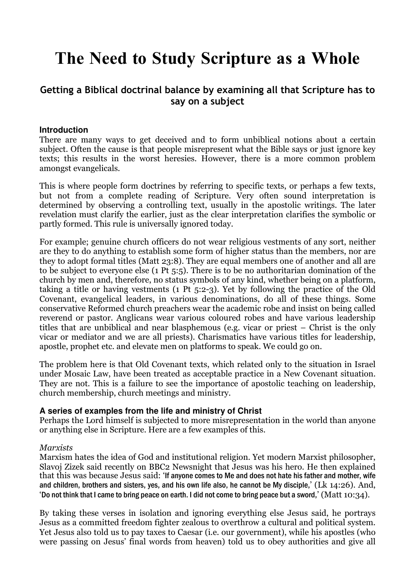# The Need to Study Scripture as a Whole

## Getting a Biblical doctrinal balance by examining all that Scripture has to say on a subject

## **Introduction**

There are many ways to get deceived and to form unbiblical notions about a certain subject. Often the cause is that people misrepresent what the Bible says or just ignore key texts; this results in the worst heresies. However, there is a more common problem amongst evangelicals.

This is where people form doctrines by referring to specific texts, or perhaps a few texts, but not from a complete reading of Scripture. Very often sound interpretation is determined by observing a controlling text, usually in the apostolic writings. The later revelation must clarify the earlier, just as the clear interpretation clarifies the symbolic or partly formed. This rule is universally ignored today.

For example; genuine church officers do not wear religious vestments of any sort, neither are they to do anything to establish some form of higher status than the members, nor are they to adopt formal titles (Matt 23:8). They are equal members one of another and all are to be subject to everyone else (1 Pt 5:5). There is to be no authoritarian domination of the church by men and, therefore, no status symbols of any kind, whether being on a platform, taking a title or having vestments (1 Pt 5:2-3). Yet by following the practice of the Old Covenant, evangelical leaders, in various denominations, do all of these things. Some conservative Reformed church preachers wear the academic robe and insist on being called reverend or pastor. Anglicans wear various coloured robes and have various leadership titles that are unbiblical and near blasphemous (e.g. vicar or priest – Christ is the only vicar or mediator and we are all priests). Charismatics have various titles for leadership, apostle, prophet etc. and elevate men on platforms to speak. We could go on.

The problem here is that Old Covenant texts, which related only to the situation in Israel under Mosaic Law, have been treated as acceptable practice in a New Covenant situation. They are not. This is a failure to see the importance of apostolic teaching on leadership, church membership, church meetings and ministry.

### **A series of examples from the life and ministry of Christ**

Perhaps the Lord himself is subjected to more misrepresentation in the world than anyone or anything else in Scripture. Here are a few examples of this.

### Marxists

Marxism hates the idea of God and institutional religion. Yet modern Marxist philosopher, Slavoj Zizek said recently on BBC2 Newsnight that Jesus was his hero. He then explained that this was because Jesus said: 'If anyone comes to Me and does not hate his father and mother, wife and children, brothers and sisters, yes, and his own life also, he cannot be My disciple,' (Lk 14:26). And, 'Do not think that I came to bring peace on earth. I did not come to bring peace but a sword,' (Matt 10:34).

By taking these verses in isolation and ignoring everything else Jesus said, he portrays Jesus as a committed freedom fighter zealous to overthrow a cultural and political system. Yet Jesus also told us to pay taxes to Caesar (i.e. our government), while his apostles (who were passing on Jesus' final words from heaven) told us to obey authorities and give all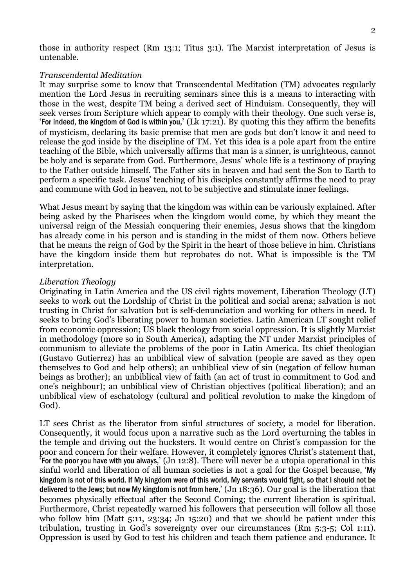those in authority respect (Rm 13:1; Titus 3:1). The Marxist interpretation of Jesus is untenable.

#### Transcendental Meditation

It may surprise some to know that Transcendental Meditation (TM) advocates regularly mention the Lord Jesus in recruiting seminars since this is a means to interacting with those in the west, despite TM being a derived sect of Hinduism. Consequently, they will seek verses from Scripture which appear to comply with their theology. One such verse is, 'For indeed, the kingdom of God is within you,'  $(Lk 17:21)$ . By quoting this they affirm the benefits of mysticism, declaring its basic premise that men are gods but don't know it and need to release the god inside by the discipline of TM. Yet this idea is a pole apart from the entire teaching of the Bible, which universally affirms that man is a sinner, is unrighteous, cannot be holy and is separate from God. Furthermore, Jesus' whole life is a testimony of praying to the Father outside himself. The Father sits in heaven and had sent the Son to Earth to perform a specific task. Jesus' teaching of his disciples constantly affirms the need to pray and commune with God in heaven, not to be subjective and stimulate inner feelings.

What Jesus meant by saying that the kingdom was within can be variously explained. After being asked by the Pharisees when the kingdom would come, by which they meant the universal reign of the Messiah conquering their enemies, Jesus shows that the kingdom has already come in his person and is standing in the midst of them now. Others believe that he means the reign of God by the Spirit in the heart of those believe in him. Christians have the kingdom inside them but reprobates do not. What is impossible is the TM interpretation.

#### Liberation Theology

Originating in Latin America and the US civil rights movement, Liberation Theology (LT) seeks to work out the Lordship of Christ in the political and social arena; salvation is not trusting in Christ for salvation but is self-denunciation and working for others in need. It seeks to bring God's liberating power to human societies. Latin American LT sought relief from economic oppression; US black theology from social oppression. It is slightly Marxist in methodology (more so in South America), adapting the NT under Marxist principles of communism to alleviate the problems of the poor in Latin America. Its chief theologian (Gustavo Gutierrez) has an unbiblical view of salvation (people are saved as they open themselves to God and help others); an unbiblical view of sin (negation of fellow human beings as brother); an unbiblical view of faith (an act of trust in commitment to God and one's neighbour); an unbiblical view of Christian objectives (political liberation); and an unbiblical view of eschatology (cultural and political revolution to make the kingdom of God).

LT sees Christ as the liberator from sinful structures of society, a model for liberation. Consequently, it would focus upon a narrative such as the Lord overturning the tables in the temple and driving out the hucksters. It would centre on Christ's compassion for the poor and concern for their welfare. However, it completely ignores Christ's statement that, 'For the poor you have with you always,' (Jn 12:8). There will never be a utopia operational in this sinful world and liberation of all human societies is not a goal for the Gospel because, 'My kingdom is not of this world. If My kingdom were of this world, My servants would fight, so that I should not be delivered to the Jews; but now My kingdom is not from here,' (Jn 18:36). Our goal is the liberation that becomes physically effectual after the Second Coming; the current liberation is spiritual. Furthermore, Christ repeatedly warned his followers that persecution will follow all those who follow him (Matt 5:11, 23:34; Jn 15:20) and that we should be patient under this tribulation, trusting in God's sovereignty over our circumstances (Rm 5:3-5; Col 1:11). Oppression is used by God to test his children and teach them patience and endurance. It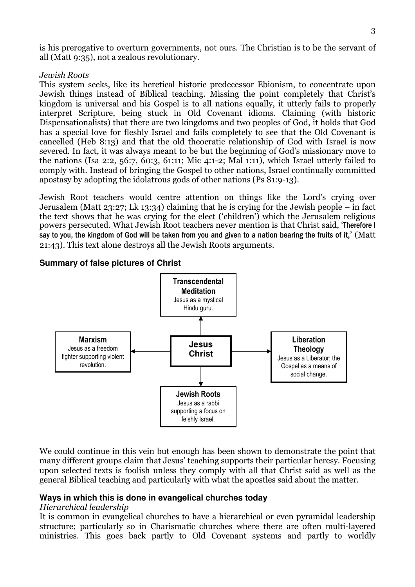is his prerogative to overturn governments, not ours. The Christian is to be the servant of all (Matt 9:35), not a zealous revolutionary.

## Jewish Roots

This system seeks, like its heretical historic predecessor Ebionism, to concentrate upon Jewish things instead of Biblical teaching. Missing the point completely that Christ's kingdom is universal and his Gospel is to all nations equally, it utterly fails to properly interpret Scripture, being stuck in Old Covenant idioms. Claiming (with historic Dispensationalists) that there are two kingdoms and two peoples of God, it holds that God has a special love for fleshly Israel and fails completely to see that the Old Covenant is cancelled (Heb 8:13) and that the old theocratic relationship of God with Israel is now severed. In fact, it was always meant to be but the beginning of God's missionary move to the nations (Isa 2:2, 56:7, 60:3, 61:11; Mic 4:1-2; Mal 1:11), which Israel utterly failed to comply with. Instead of bringing the Gospel to other nations, Israel continually committed apostasy by adopting the idolatrous gods of other nations (Ps 81:9-13).

Jewish Root teachers would centre attention on things like the Lord's crying over Jerusalem (Matt 23:27; Lk 13:34) claiming that he is crying for the Jewish people – in fact the text shows that he was crying for the elect ('children') which the Jerusalem religious powers persecuted. What Jewish Root teachers never mention is that Christ said, 'Therefore I say to you, the kingdom of God will be taken from you and given to a nation bearing the fruits of it,' (Matt 21:43). This text alone destroys all the Jewish Roots arguments.

**Summary of false pictures of Christ** 



We could continue in this vein but enough has been shown to demonstrate the point that many different groups claim that Jesus' teaching supports their particular heresy. Focusing upon selected texts is foolish unless they comply with all that Christ said as well as the general Biblical teaching and particularly with what the apostles said about the matter.

## **Ways in which this is done in evangelical churches today**

### Hierarchical leadership

It is common in evangelical churches to have a hierarchical or even pyramidal leadership structure; particularly so in Charismatic churches where there are often multi-layered ministries. This goes back partly to Old Covenant systems and partly to worldly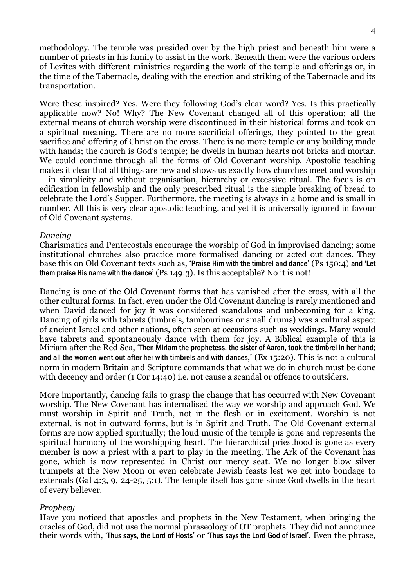methodology. The temple was presided over by the high priest and beneath him were a number of priests in his family to assist in the work. Beneath them were the various orders of Levites with different ministries regarding the work of the temple and offerings or, in the time of the Tabernacle, dealing with the erection and striking of the Tabernacle and its transportation.

Were these inspired? Yes. Were they following God's clear word? Yes. Is this practically applicable now? No! Why? The New Covenant changed all of this operation; all the external means of church worship were discontinued in their historical forms and took on a spiritual meaning. There are no more sacrificial offerings, they pointed to the great sacrifice and offering of Christ on the cross. There is no more temple or any building made with hands; the church is God's temple; he dwells in human hearts not bricks and mortar. We could continue through all the forms of Old Covenant worship. Apostolic teaching makes it clear that all things are new and shows us exactly how churches meet and worship – in simplicity and without organisation, hierarchy or excessive ritual. The focus is on edification in fellowship and the only prescribed ritual is the simple breaking of bread to celebrate the Lord's Supper. Furthermore, the meeting is always in a home and is small in number. All this is very clear apostolic teaching, and yet it is universally ignored in favour of Old Covenant systems.

#### Dancing

Charismatics and Pentecostals encourage the worship of God in improvised dancing; some institutional churches also practice more formalised dancing or acted out dances. They base this on Old Covenant texts such as, 'Praise Him with the timbrel and dance' (Ps 150:4) and 'Let them praise His name with the dance' (Ps 149:3). Is this acceptable? No it is not!

Dancing is one of the Old Covenant forms that has vanished after the cross, with all the other cultural forms. In fact, even under the Old Covenant dancing is rarely mentioned and when David danced for joy it was considered scandalous and unbecoming for a king. Dancing of girls with tabrets (timbrels, tambourines or small drums) was a cultural aspect of ancient Israel and other nations, often seen at occasions such as weddings. Many would have tabrets and spontaneously dance with them for joy. A Biblical example of this is Miriam after the Red Sea, 'Then Miriam the prophetess, the sister of Aaron, took the timbrel in her hand; and all the women went out after her with timbrels and with dances,' (Ex 15:20). This is not a cultural norm in modern Britain and Scripture commands that what we do in church must be done with decency and order (1 Cor 14:40) i.e. not cause a scandal or offence to outsiders.

More importantly, dancing fails to grasp the change that has occurred with New Covenant worship. The New Covenant has internalised the way we worship and approach God. We must worship in Spirit and Truth, not in the flesh or in excitement. Worship is not external, is not in outward forms, but is in Spirit and Truth. The Old Covenant external forms are now applied spiritually; the loud music of the temple is gone and represents the spiritual harmony of the worshipping heart. The hierarchical priesthood is gone as every member is now a priest with a part to play in the meeting. The Ark of the Covenant has gone, which is now represented in Christ our mercy seat. We no longer blow silver trumpets at the New Moon or even celebrate Jewish feasts lest we get into bondage to externals (Gal 4:3, 9, 24-25, 5:1). The temple itself has gone since God dwells in the heart of every believer.

#### Prophecy

Have you noticed that apostles and prophets in the New Testament, when bringing the oracles of God, did not use the normal phraseology of OT prophets. They did not announce their words with, 'Thus says, the Lord of Hosts' or 'Thus says the Lord God of Israel'. Even the phrase,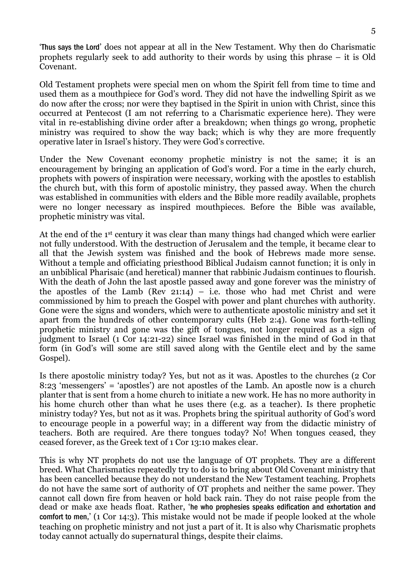'Thus says the Lord' does not appear at all in the New Testament. Why then do Charismatic prophets regularly seek to add authority to their words by using this phrase – it is Old Covenant.

Old Testament prophets were special men on whom the Spirit fell from time to time and used them as a mouthpiece for God's word. They did not have the indwelling Spirit as we do now after the cross; nor were they baptised in the Spirit in union with Christ, since this occurred at Pentecost (I am not referring to a Charismatic experience here). They were vital in re-establishing divine order after a breakdown; when things go wrong, prophetic ministry was required to show the way back; which is why they are more frequently operative later in Israel's history. They were God's corrective.

Under the New Covenant economy prophetic ministry is not the same; it is an encouragement by bringing an application of God's word. For a time in the early church, prophets with powers of inspiration were necessary, working with the apostles to establish the church but, with this form of apostolic ministry, they passed away. When the church was established in communities with elders and the Bible more readily available, prophets were no longer necessary as inspired mouthpieces. Before the Bible was available, prophetic ministry was vital.

At the end of the 1st century it was clear than many things had changed which were earlier not fully understood. With the destruction of Jerusalem and the temple, it became clear to all that the Jewish system was finished and the book of Hebrews made more sense. Without a temple and officiating priesthood Biblical Judaism cannot function; it is only in an unbiblical Pharisaic (and heretical) manner that rabbinic Judaism continues to flourish. With the death of John the last apostle passed away and gone forever was the ministry of the apostles of the Lamb (Rev 21:14) – i.e. those who had met Christ and were commissioned by him to preach the Gospel with power and plant churches with authority. Gone were the signs and wonders, which were to authenticate apostolic ministry and set it apart from the hundreds of other contemporary cults (Heb 2:4). Gone was forth-telling prophetic ministry and gone was the gift of tongues, not longer required as a sign of judgment to Israel (1 Cor 14:21-22) since Israel was finished in the mind of God in that form (in God's will some are still saved along with the Gentile elect and by the same Gospel).

Is there apostolic ministry today? Yes, but not as it was. Apostles to the churches (2 Cor 8:23 'messengers' = 'apostles') are not apostles of the Lamb. An apostle now is a church planter that is sent from a home church to initiate a new work. He has no more authority in his home church other than what he uses there (e.g. as a teacher). Is there prophetic ministry today? Yes, but not as it was. Prophets bring the spiritual authority of God's word to encourage people in a powerful way; in a different way from the didactic ministry of teachers. Both are required. Are there tongues today? No! When tongues ceased, they ceased forever, as the Greek text of 1 Cor 13:10 makes clear.

This is why NT prophets do not use the language of OT prophets. They are a different breed. What Charismatics repeatedly try to do is to bring about Old Covenant ministry that has been cancelled because they do not understand the New Testament teaching. Prophets do not have the same sort of authority of OT prophets and neither the same power. They cannot call down fire from heaven or hold back rain. They do not raise people from the dead or make axe heads float. Rather, 'he who prophesies speaks edification and exhortation and comfort to men,' (1 Cor 14:3). This mistake would not be made if people looked at the whole teaching on prophetic ministry and not just a part of it. It is also why Charismatic prophets today cannot actually do supernatural things, despite their claims.